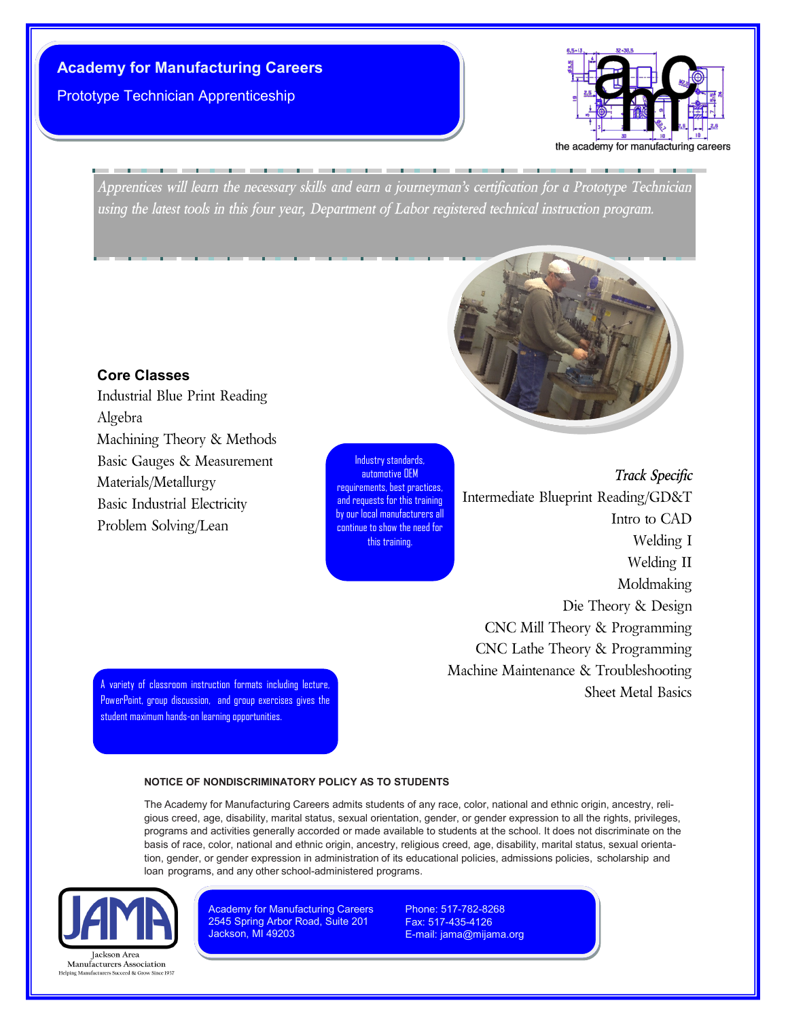## **Academy for Manufacturing Careers**

Prototype Technician Apprenticeship



*Apprentices will learn the necessary skills and earn a journeyman's certification for a Prototype Technician using the latest tools in this four year, Department of Labor registered technical instruction program.*

## **Core Classes**

Industrial Blue Print Reading Algebra Machining Theory & Methods Basic Gauges & Measurement Materials/Metallurgy Basic Industrial Electricity Problem Solving/Lean

Industry standards, automotive OEM requirements, best practices, and requests for this training by our local manufacturers all continue to show the need for this training.

*Track Specific* Intermediate Blueprint Reading/GD&T Intro to CAD Welding I Welding II Moldmaking Die Theory & Design CNC Mill Theory & Programming CNC Lathe Theory & Programming Machine Maintenance & Troubleshooting Sheet Metal Basics

A variety of classroom instruction formats including lecture, PowerPoint, group discussion, and group exercises gives the student maximum hands-on learning opportunities.

#### **NOTICE OF NONDISCRIMINATORY POLICY AS TO STUDENTS**

The Academy for Manufacturing Careers admits students of any race, color, national and ethnic origin, ancestry, religious creed, age, disability, marital status, sexual orientation, gender, or gender expression to all the rights, privileges, programs and activities generally accorded or made available to students at the school. It does not discriminate on the basis of race, color, national and ethnic origin, ancestry, religious creed, age, disability, marital status, sexual orientation, gender, or gender expression in administration of its educational policies, admissions policies, scholarship and loan programs, and any other school-administered programs.



Manufacturers Association Succeed & Grow Since 1937 **Academy for Manufacturing Careers** 2545 Spring Arbor Road, Suite 201 Jackson, MI 49203

Phone: 517-782-8268 Fax: 517-435-4126 E-mail: jama@mijama.org